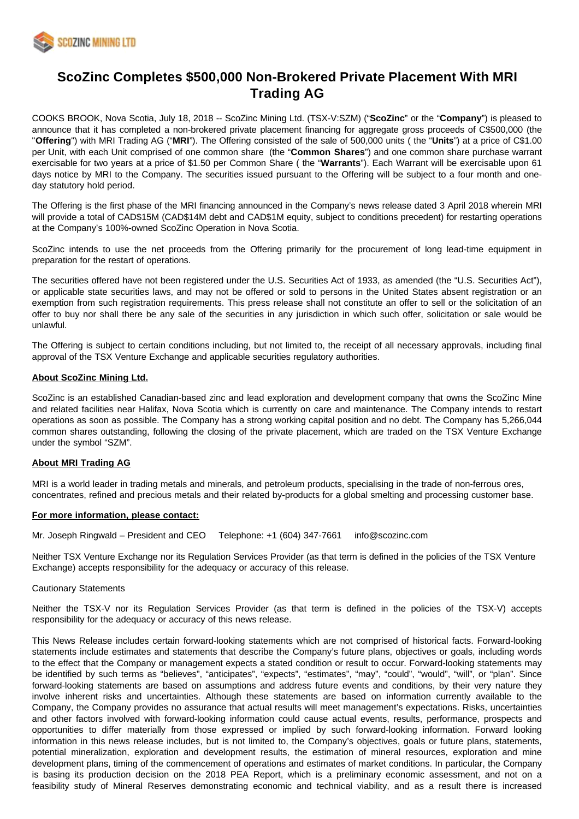

# **ScoZinc Completes \$500,000 Non-Brokered Private Placement With MRI Trading AG**

COOKS BROOK, Nova Scotia, July 18, 2018 -- ScoZinc Mining Ltd. (TSX-V:SZM) ("**ScoZinc**" or the "**Company**") is pleased to announce that it has completed a non-brokered private placement financing for aggregate gross proceeds of C\$500,000 (the "**Offering**") with MRI Trading AG ("**MRI**"). The Offering consisted of the sale of 500,000 units ( the "**Units**") at a price of C\$1.00 per Unit, with each Unit comprised of one common share (the "**Common Shares**") and one common share purchase warrant exercisable for two years at a price of \$1.50 per Common Share ( the "**Warrants**"). Each Warrant will be exercisable upon 61 days notice by MRI to the Company. The securities issued pursuant to the Offering will be subject to a four month and oneday statutory hold period.

The Offering is the first phase of the MRI financing announced in the Company's news release dated 3 April 2018 wherein MRI will provide a total of CAD\$15M (CAD\$14M debt and CAD\$1M equity, subject to conditions precedent) for restarting operations at the Company's 100%-owned ScoZinc Operation in Nova Scotia.

ScoZinc intends to use the net proceeds from the Offering primarily for the procurement of long lead-time equipment in preparation for the restart of operations.

The securities offered have not been registered under the U.S. Securities Act of 1933, as amended (the "U.S. Securities Act"), or applicable state securities laws, and may not be offered or sold to persons in the United States absent registration or an exemption from such registration requirements. This press release shall not constitute an offer to sell or the solicitation of an offer to buy nor shall there be any sale of the securities in any jurisdiction in which such offer, solicitation or sale would be unlawful.

The Offering is subject to certain conditions including, but not limited to, the receipt of all necessary approvals, including final approval of the TSX Venture Exchange and applicable securities regulatory authorities.

## **About ScoZinc Mining Ltd.**

ScoZinc is an established Canadian-based zinc and lead exploration and development company that owns the ScoZinc Mine and related facilities near Halifax, Nova Scotia which is currently on care and maintenance. The Company intends to restart operations as soon as possible. The Company has a strong working capital position and no debt. The Company has 5,266,044 common shares outstanding, following the closing of the private placement, which are traded on the TSX Venture Exchange under the symbol "SZM".

### **About MRI Trading AG**

MRI is a world leader in trading metals and minerals, and petroleum products, specialising in the trade of non-ferrous ores, concentrates, refined and precious metals and their related by-products for a global smelting and processing customer base.

### **For more information, please contact:**

Mr. Joseph Ringwald – President and CEO Telephone: +1 (604) 347-7661 info@scozinc.com

Neither TSX Venture Exchange nor its Regulation Services Provider (as that term is defined in the policies of the TSX Venture Exchange) accepts responsibility for the adequacy or accuracy of this release.

### Cautionary Statements

Neither the TSX-V nor its Regulation Services Provider (as that term is defined in the policies of the TSX-V) accepts responsibility for the adequacy or accuracy of this news release.

This News Release includes certain forward-looking statements which are not comprised of historical facts. Forward-looking statements include estimates and statements that describe the Company's future plans, objectives or goals, including words to the effect that the Company or management expects a stated condition or result to occur. Forward-looking statements may be identified by such terms as "believes", "anticipates", "expects", "estimates", "may", "could", "would", "will", or "plan". Since forward-looking statements are based on assumptions and address future events and conditions, by their very nature they involve inherent risks and uncertainties. Although these statements are based on information currently available to the Company, the Company provides no assurance that actual results will meet management's expectations. Risks, uncertainties and other factors involved with forward-looking information could cause actual events, results, performance, prospects and opportunities to differ materially from those expressed or implied by such forward-looking information. Forward looking information in this news release includes, but is not limited to, the Company's objectives, goals or future plans, statements, potential mineralization, exploration and development results, the estimation of mineral resources, exploration and mine development plans, timing of the commencement of operations and estimates of market conditions. In particular, the Company is basing its production decision on the 2018 PEA Report, which is a preliminary economic assessment, and not on a feasibility study of Mineral Reserves demonstrating economic and technical viability, and as a result there is increased